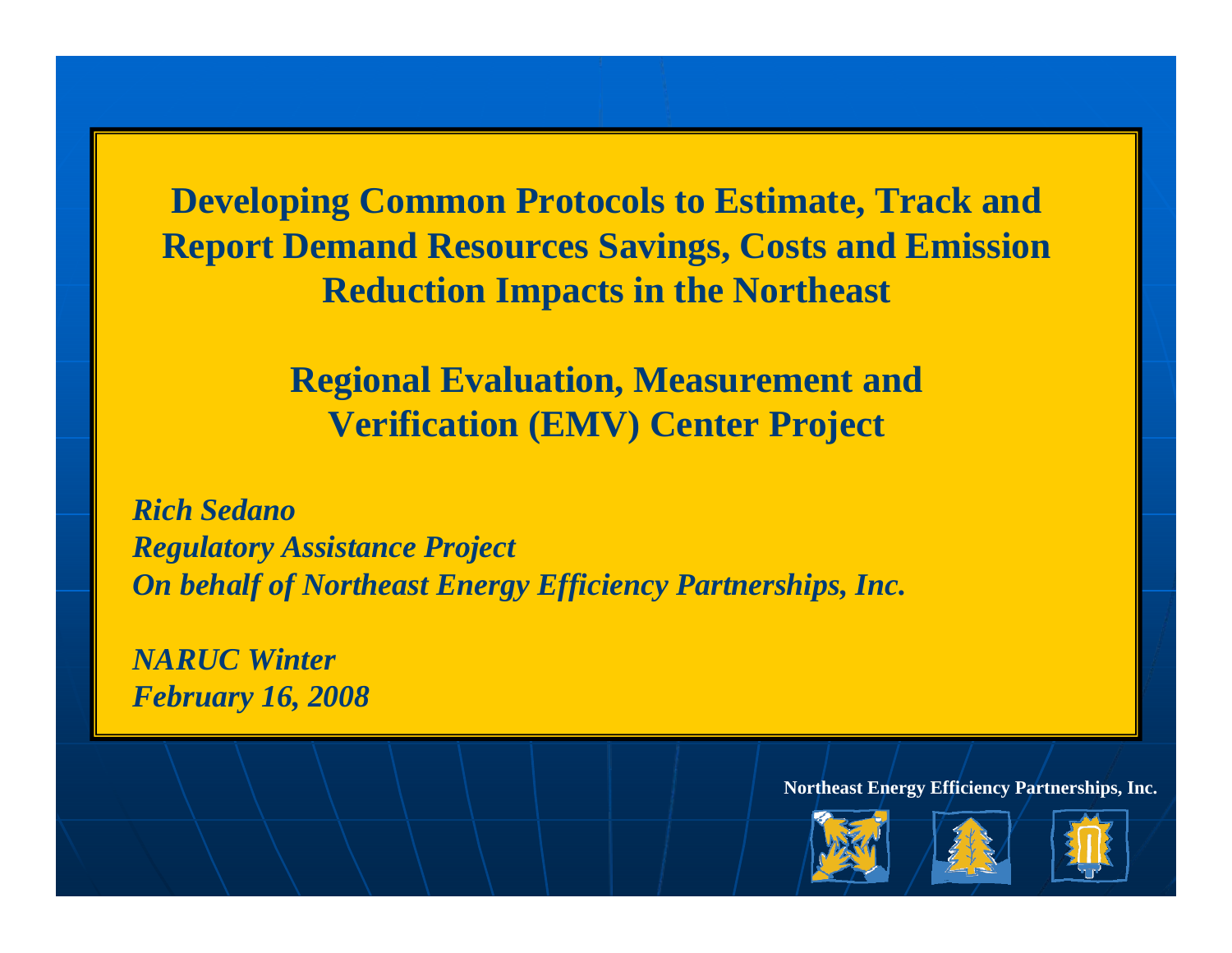**Developing Common Protocols to Estimate, Track and Report Demand Resources Savings, Costs and Emission Reduction Impacts in the Northeast**

> **Regional Evaluation, Measurement and Verification (EMV) Center Project**

*Rich SedanoRegulatory Assistance Project On behalf of Northeast Energy Efficiency Partnerships, Inc.*

*NARUC WinterFebruary 16, 2008*





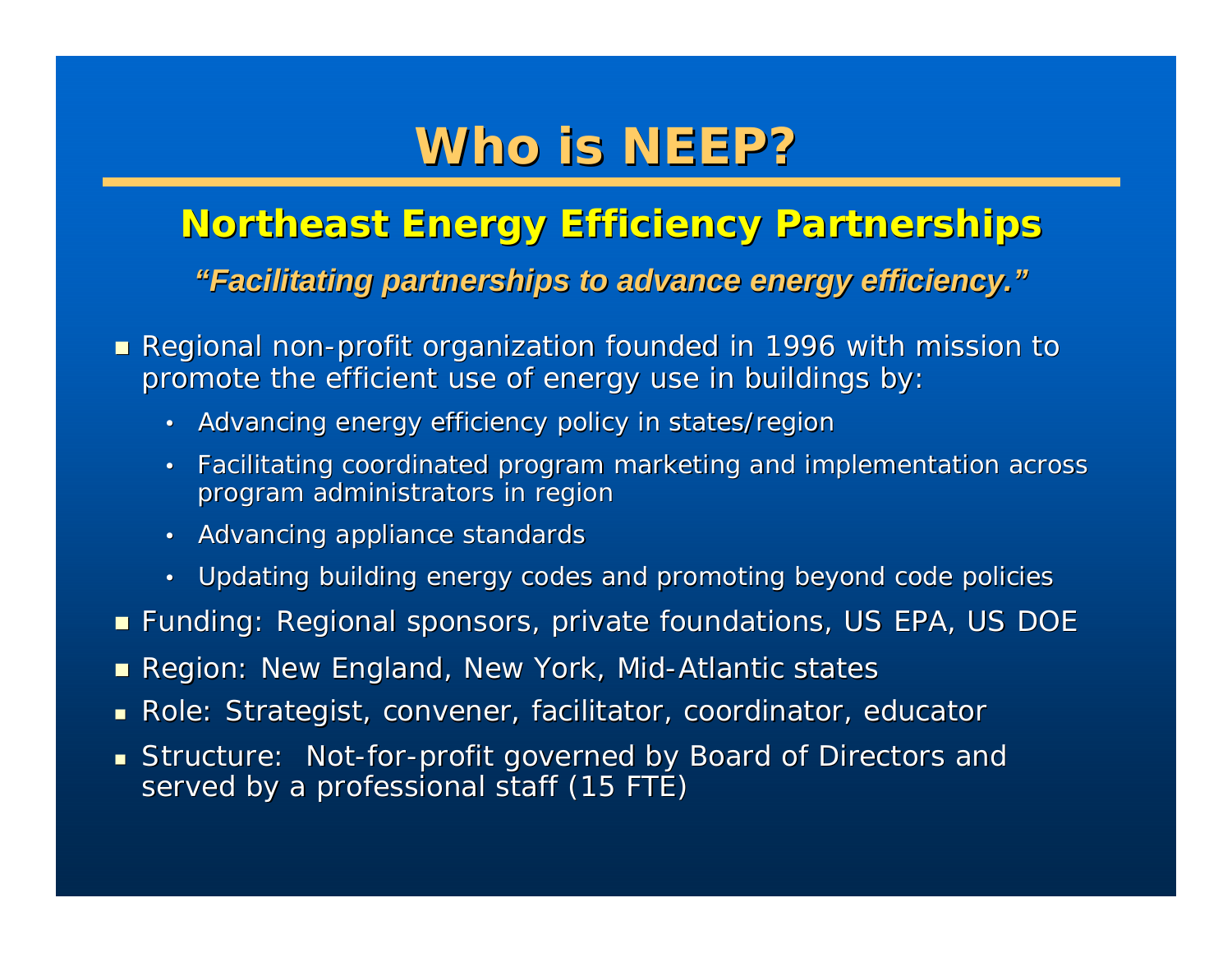## **Who is NEEP? Who is NEEP?**

### **Northeast Energy Efficiency Partnerships Northeast Energy Efficiency Partnerships** *"Facilitating partnerships to Facilitating partnerships to advance energy efficiency. advance energy efficiency. "*

- $\blacksquare$  Regional non-profit organization founded in 1996 with mission to promote the efficient use of energy use in buildings by:
	- Advancing energy efficiency policy in states/regior
	- • Facilitating coordinated program Facilitating coordinated program marketing and implementation ac marketing and implementation across program administrators in region
	- Advancing appliance standards
	- Updating building energy codes and promoting beyond code policies
- $\blacksquare$  Funding: Regional sponsors, private foundations, US EPA, US DOE
- $\blacksquare$  Region: New England, New York, Mid-Atlantic states
- $\blacksquare$  Role: Strategist, convener, facilitator, coordinator, educator
- $\textsf{\textbf{I}}$  Structure: Not-for-profit governed by Board of Directors and served by a professional staff (15 FTE)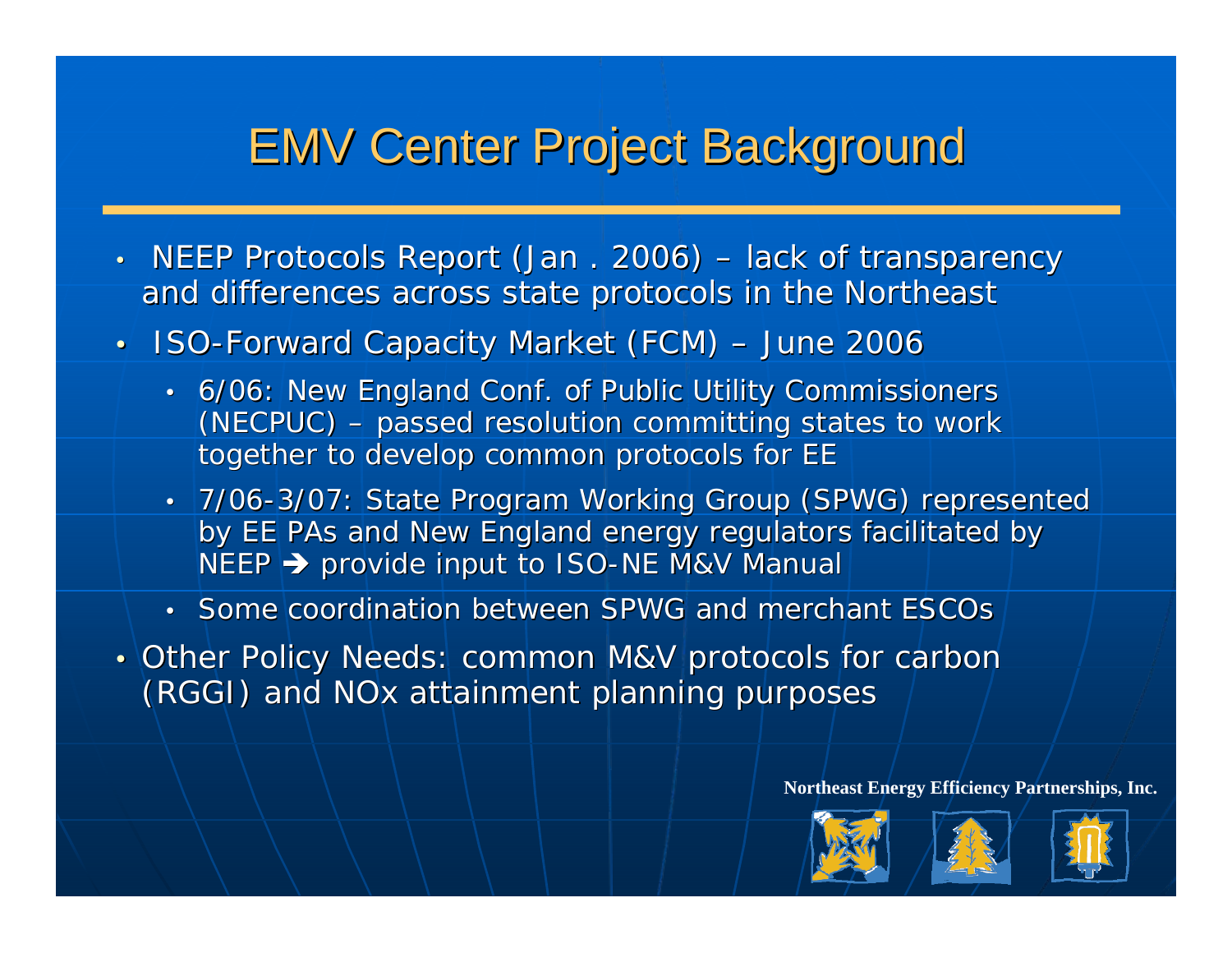## **EMV Center Project Background**

- NEEP Protocols Report (Jan . 2006) – lack of transparency and differences across state protocols in the Northeast
- ISO-Forward Capacity Market (FCM) June 2006
	- 6/06: New England Conf. of Public Utility Commissioners  $(NECPUC)$  – passed resolution committing states to work together to develop common protocols for EE
	- 7/06-3/07: State Program Working Group (SPWG) represented by EE PAs and New England energy regulators facilitated by NEEP  $\blacktriangleright$  provide input to ISO-NE M&V Manual  $|$
	- Some coordination between SPWG and merchant ESCOs
- •• Other Policy Needs: common M&V protocols for carbon (RGGI) and NOx attainment planning purposes





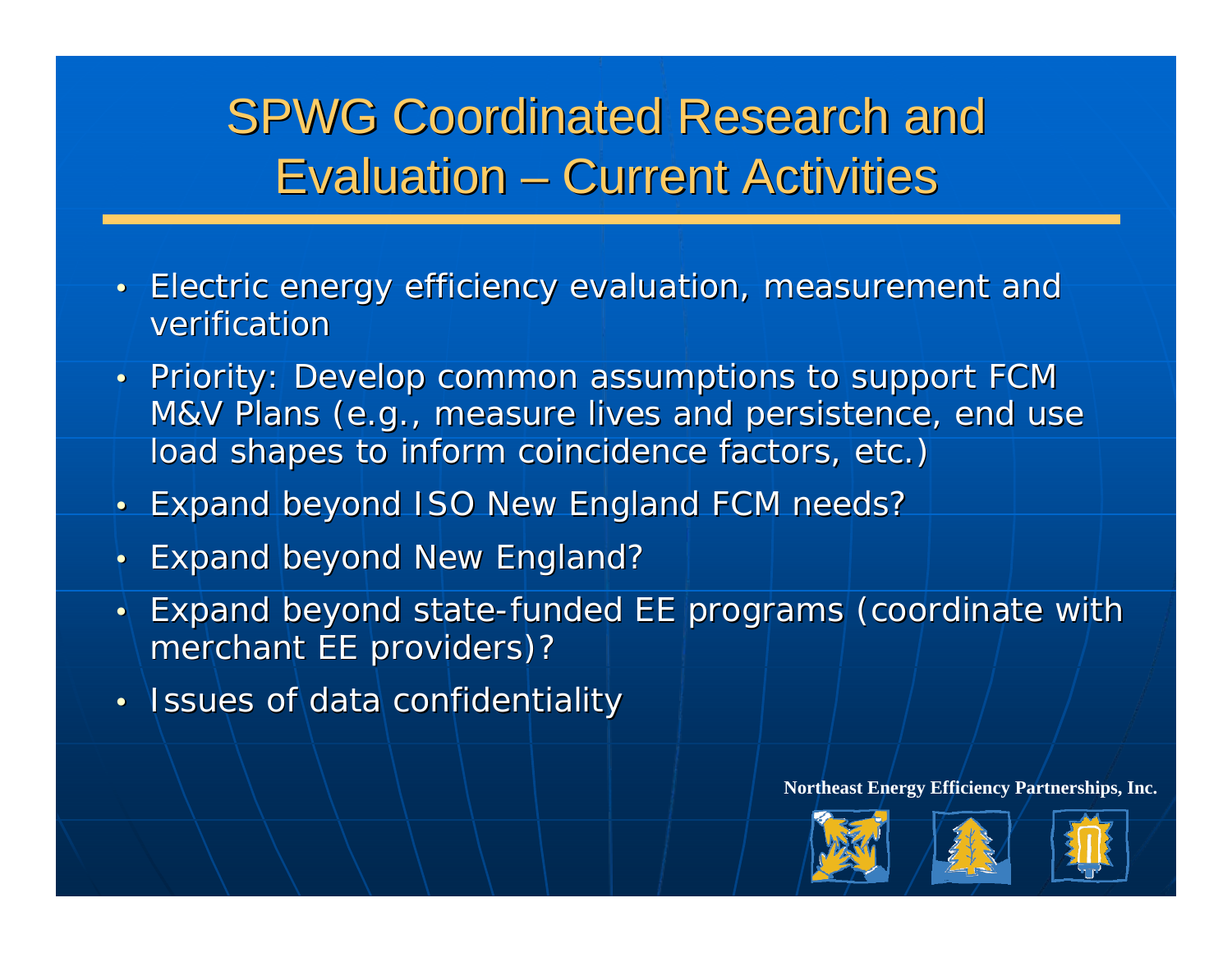#### SPWG Coordinated Research and Evaluation – –**- Current Activities**

- Electric energy efficiency evaluation, measurement and verification
- Priority: Develop common assumptions to support FCM M&V Plans (e.g., measure lives and persistence, end use load shapes to inform coincidence factors, etc.)
- •**Expand beyond ISO New England FCM needs?**
- •Expand beyond New England?
- $\bullet$   $\vdash$ Expand beyond state-funded EE programs (coordinate with merchant EE providers)? merchant EE providers)?
- $\bullet$  .  $\,\cdot\,$  Issues of data confidentiality





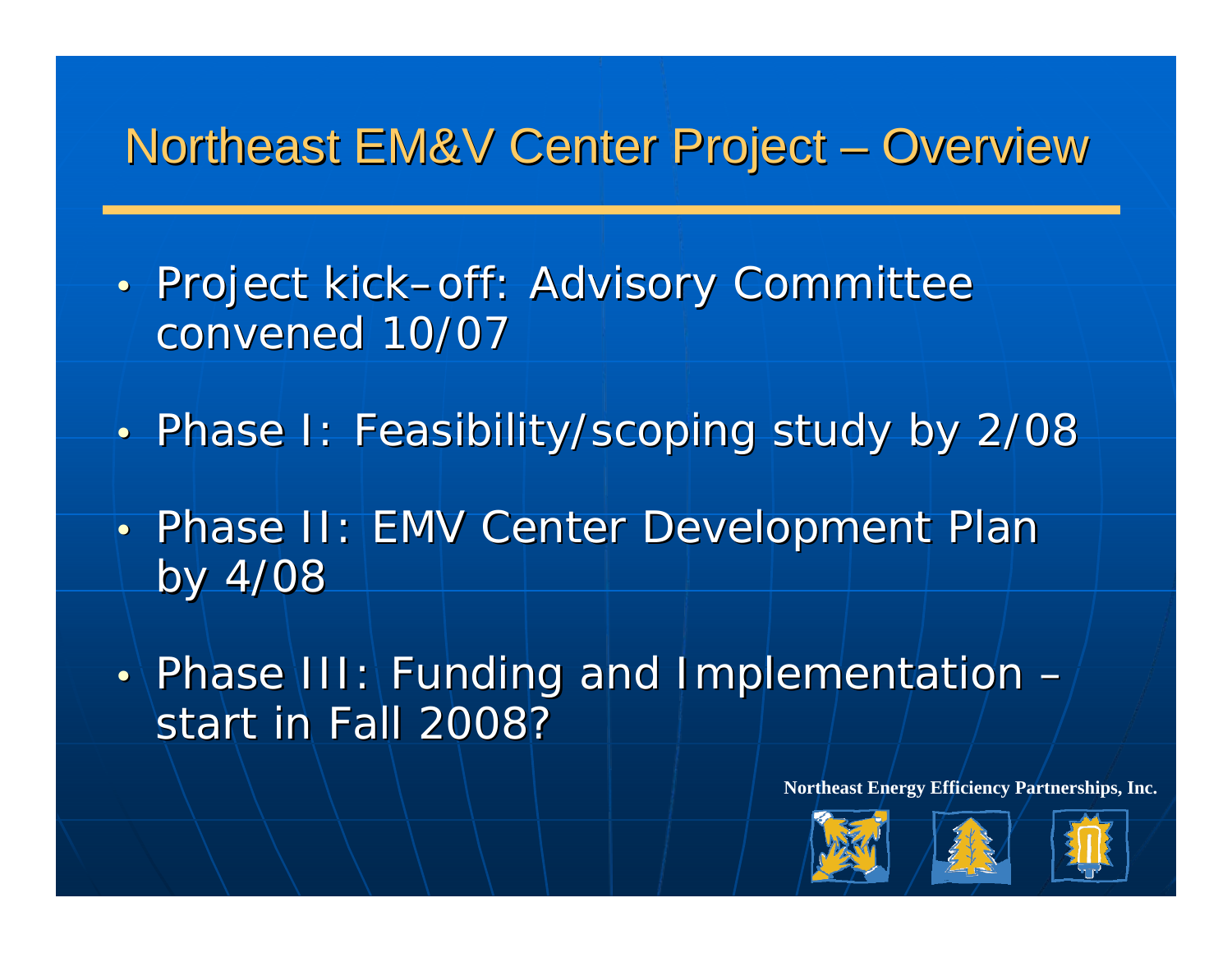## Northeast EM&V Center Project – Overview

- $\bullet$  . • Project kick–off: Advisory Committee convened 10/07
- $\bullet$   $\overline{\phantom{a}}$ • Phase I: Feasibility/scoping study by 2/08
- $\bullet$  . • Phase II: EMV Center Development Plan by 4/08
- $\bullet$ • Phase III: Funding and Implementation start in Fall 2008?





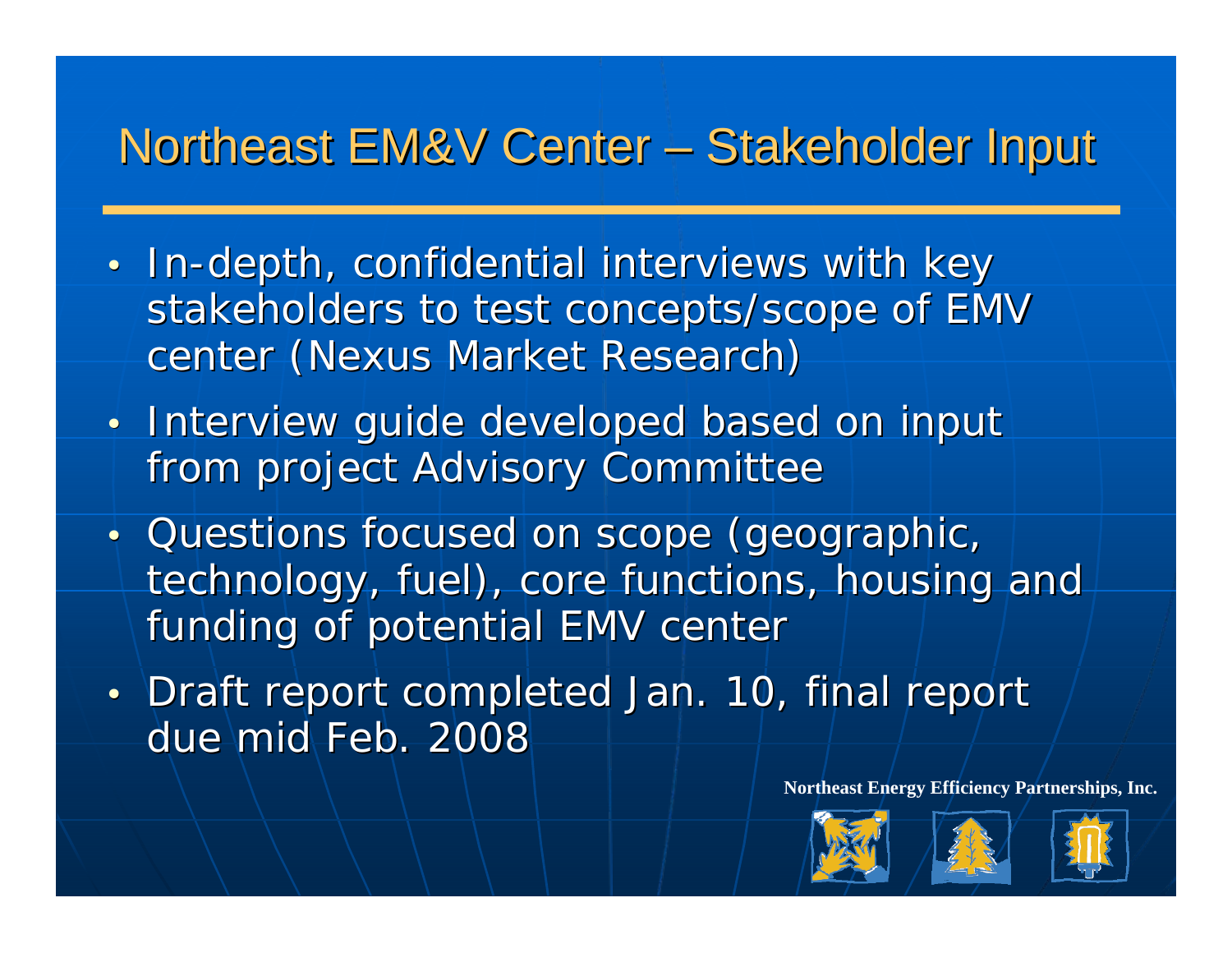## Northeast EM&V Center – Stakeholder Input

- In-depth, confidential interviews with key stakeholders to test concepts/scope of EMV center (Nexus Market Research)
- Interview guide developed based on input from project Advisory Committee
- Questions focused on scope (geographic, technology, fuel), core functions, housing and funding of potential EMV center
- Draft report completed Jan. 10, final report due mid Feb. 2008





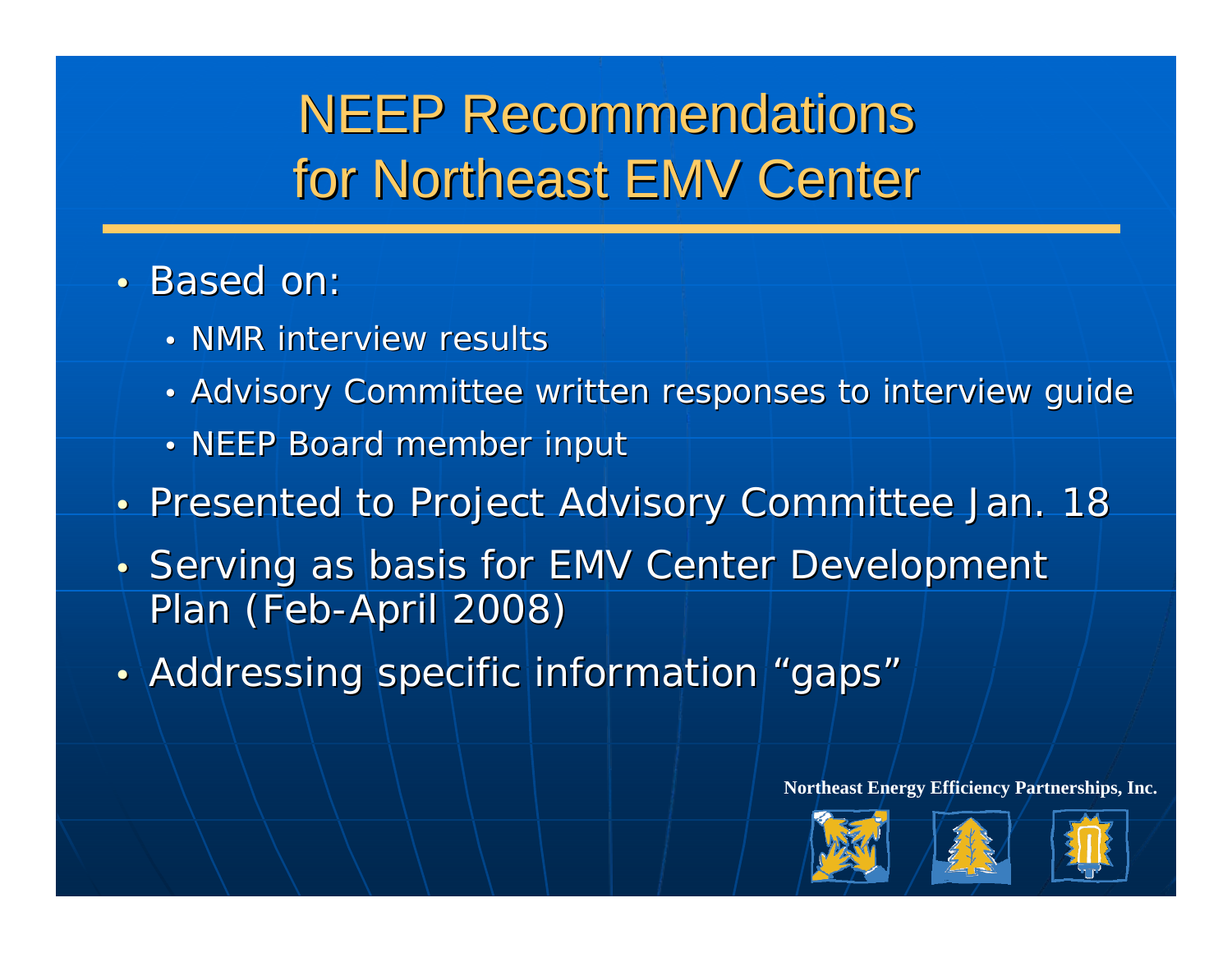## **NEEP Recommendations** for Northeast EMV Center

### • Based on:

- NMR interview results
- $\bullet$  .  $\bm{\cdot}$  Advisory Committee written responses to interview guide  $\bm{\cdot}$
- •• NEEP Board member input
- Presented to Project Advisory Committee Jan. 18
- Serving as basis for EMV Center Development Plan (Feb-April 2008)
- Addressing specific information "gaps"





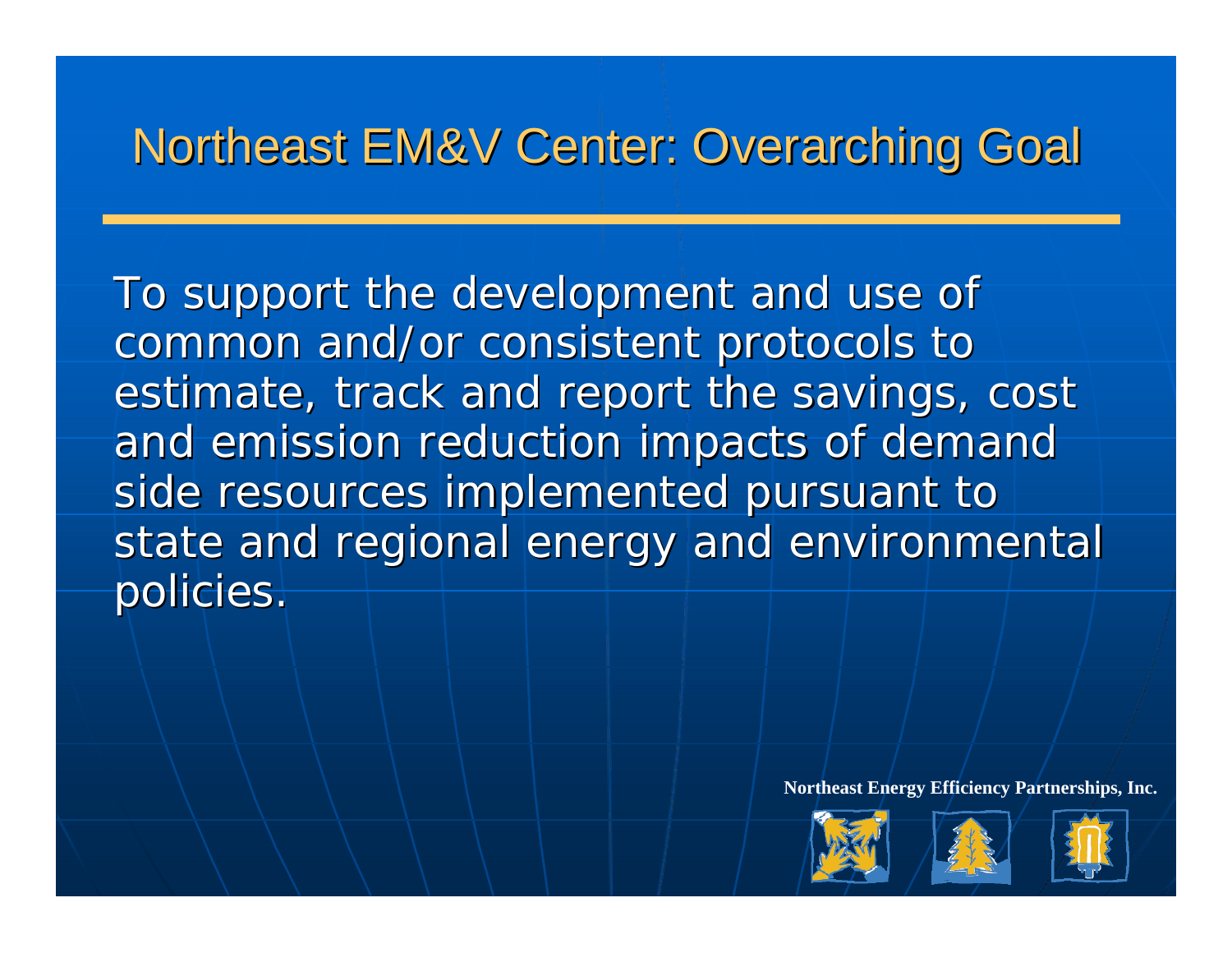## **Northeast EM&V Center: Overarching Goal**

To support the development and use of common and/or consistent protocols to estimate, track and report the savings, cost and emission reduction impacts of demand side resources implemented pursuant to state and regional energy and environmental policies.





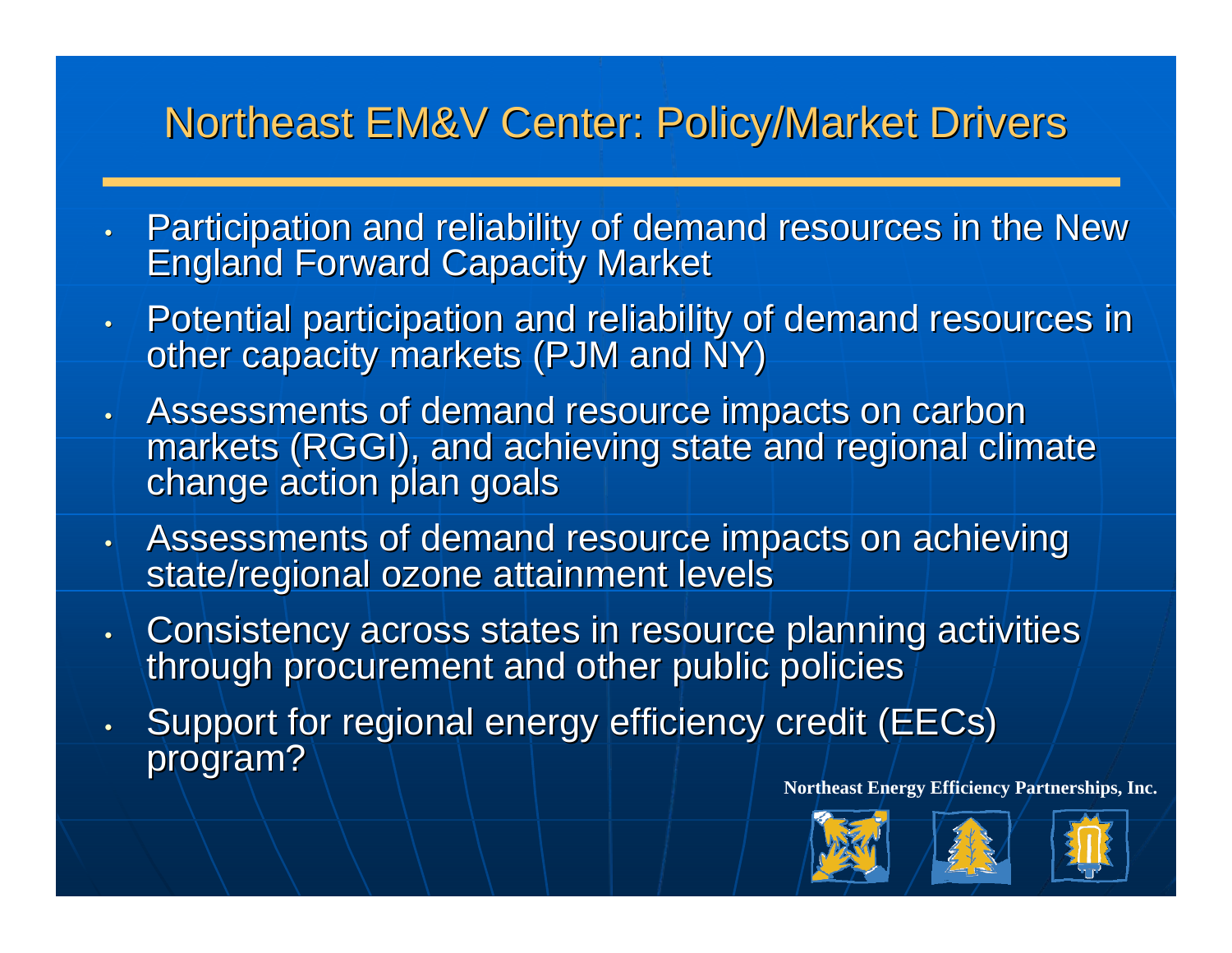### **Northeast EM&V Center: Policy/Market Drivers**

- $\bullet$  . Participation and reliability of demand resources in the New Participation and reliability of demand resources in the New
- Potential participation and reliability of demand resources in other capacity markets (PJM and NY)
- Assessments of demand resource impacts on carbon<br>markets (RGGI), and achieving state and regional climate<br>change action plan goals
- Assessments of demand resource impacts on achieving<br>State/regional ozone attainment levels
- Consistency across states in resource planning activities through procurement and other public policies
- Support for regional energy efficiency credit (EECs) program?





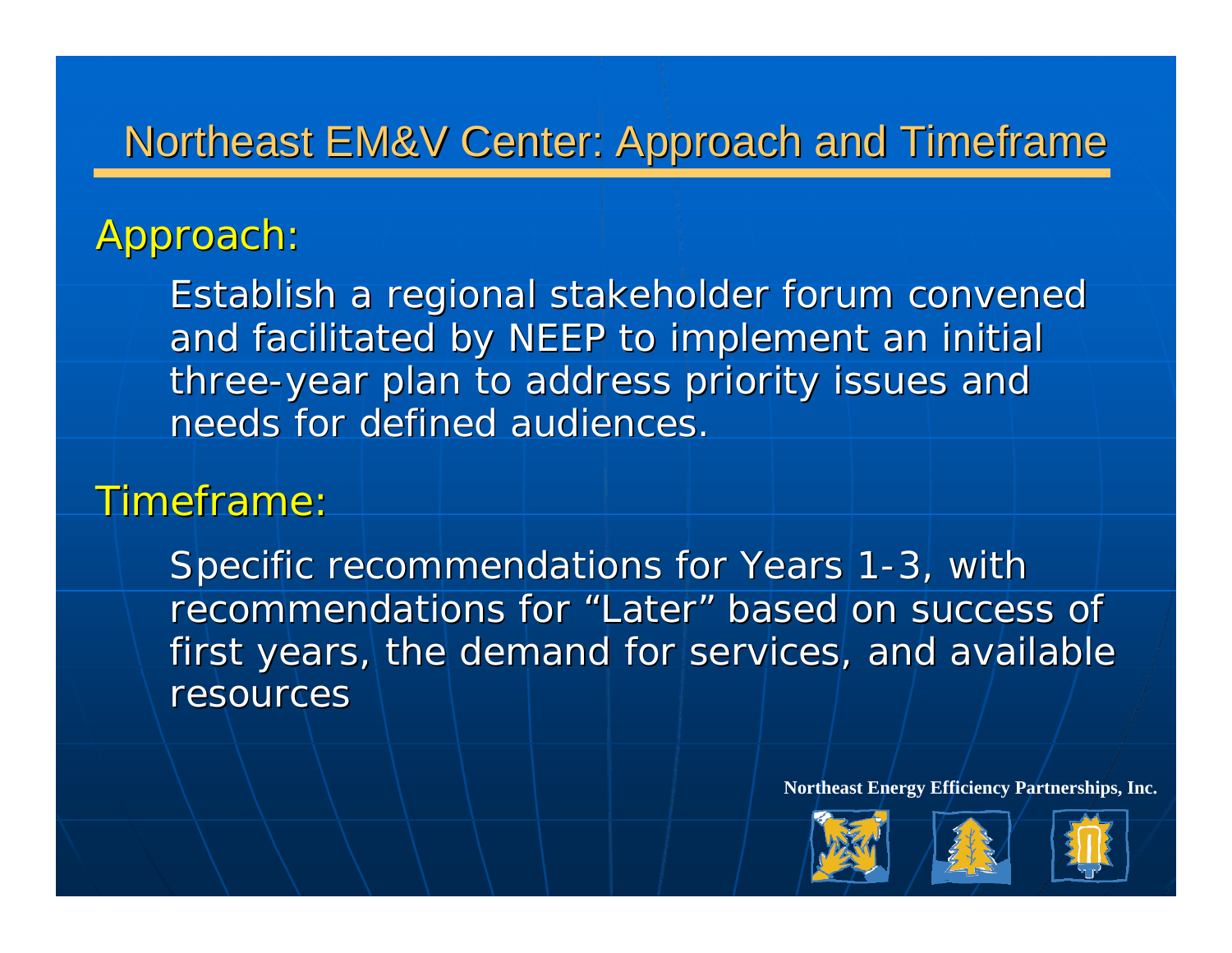### Northeast EM&V Center: Approach and Timeframe

### Approach:

Establish a regional stakeholder forum convened and facilitated by NEEP to implement an initial three-year plan to address priority issues and needs for defined audiences.

#### Timeframe:

Specific recommendations for Years 1-3, with recommendations for "Later" based on success of first years, the demand for services, and available resources





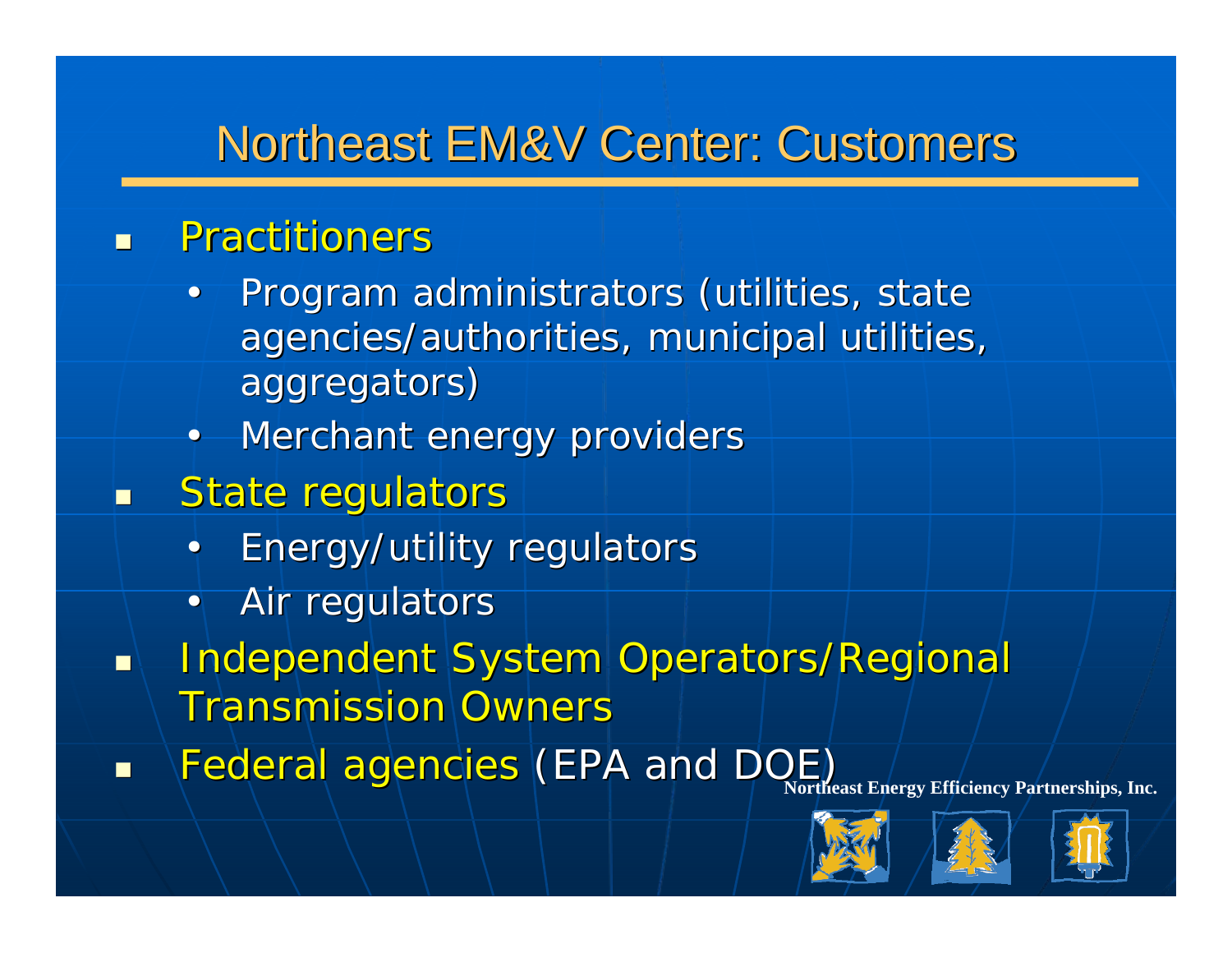## Northeast EM&V Center: Customers

#### $\overline{\phantom{0}}$ **Practitioners**

- $\bullet$ L Program administrators (utilities, state agencies/authorities, municipal utilities, aggregators) aggregators)
- Merchant energy providers
- $\blacksquare$ State regulators
	- **Energy/utility regulators**
	- $\bullet$   $\vdash$ Air regulators
- $\blacksquare$ **Independent System Operators/Regional** Transmission Owners
- **Northeast Energy Efficiency Partnerships, Inc.**<br> **Example: And DOE)** (EPA and DOE) (Northeast Energy Efficiency Partnerships, Inc. П





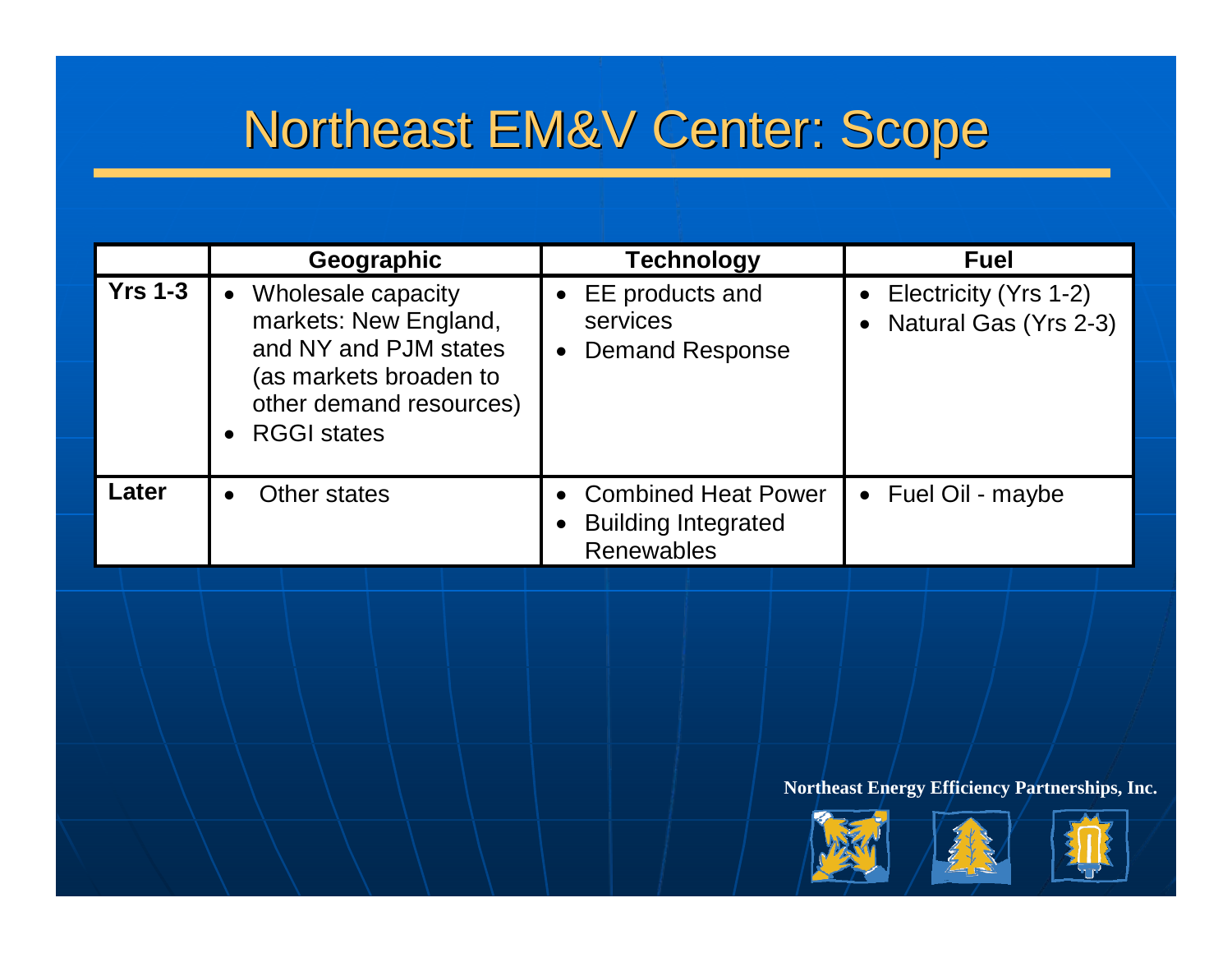## Northeast EM&V Center: Scope

|                | Geographic                                                                                                                                                                | <b>Technology</b>                                                             | <b>Fuel</b>                                    |
|----------------|---------------------------------------------------------------------------------------------------------------------------------------------------------------------------|-------------------------------------------------------------------------------|------------------------------------------------|
| <b>Yrs 1-3</b> | Wholesale capacity<br>$\bullet$<br>markets: New England,<br>and NY and PJM states<br>(as markets broaden to<br>other demand resources)<br><b>RGGI states</b><br>$\bullet$ | $\bullet$ EE products and<br>services<br><b>Demand Response</b><br>$\bullet$  | Electricity (Yrs 1-2)<br>Natural Gas (Yrs 2-3) |
| Later          | Other states<br>$\bullet$                                                                                                                                                 | <b>Combined Heat Power</b><br><b>Building Integrated</b><br><b>Renewables</b> | Fuel Oil - maybe<br>$\bullet$                  |
|                |                                                                                                                                                                           |                                                                               |                                                |





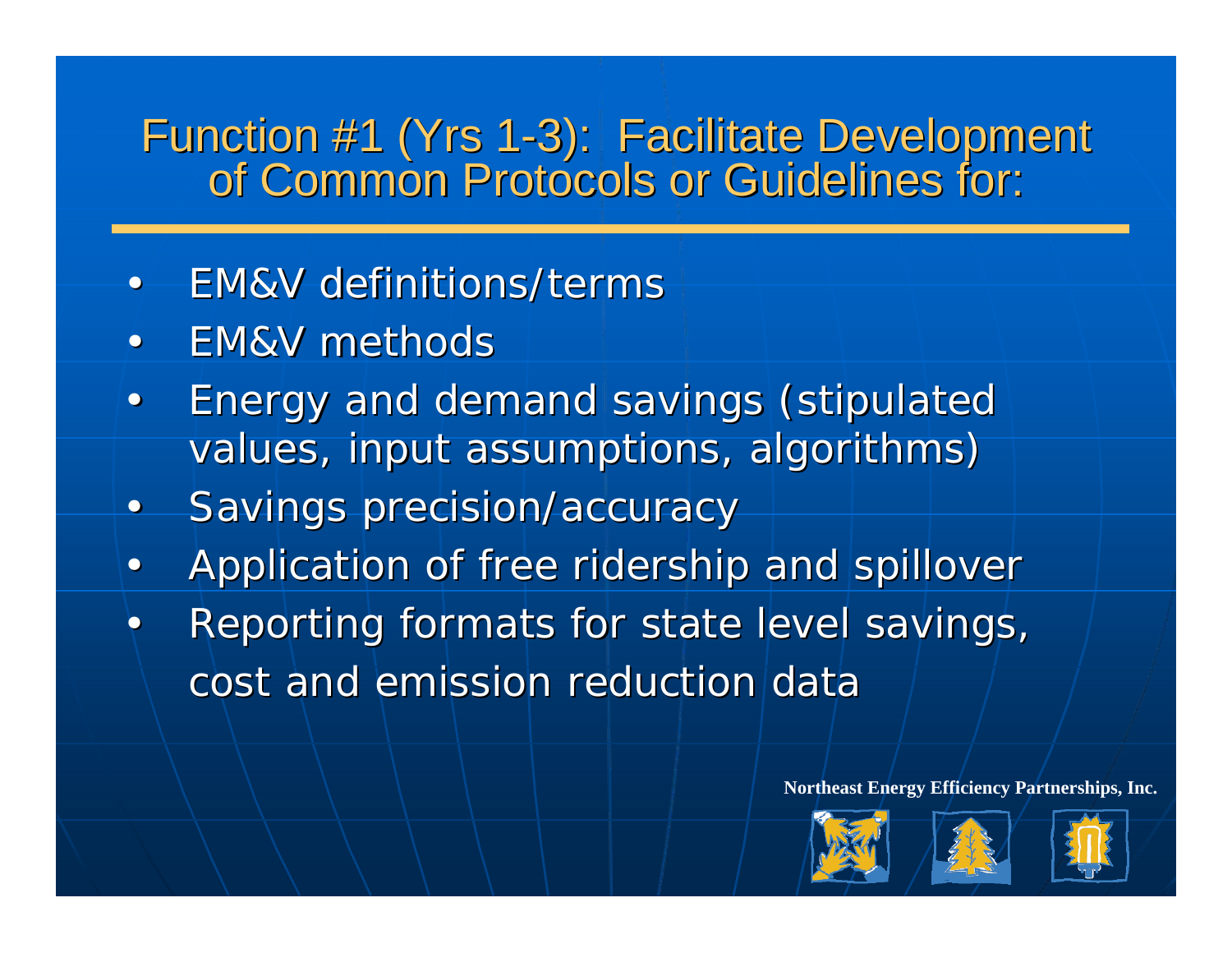# Function #1 (Yrs 1-3): Facilitate Development<br>The Common Protocols or Guidelines for:

- EM&V definitions/terms
- EM&V methods
- $\bullet$  Energy and demand savings (stipulated Energy and demand savings (stipulated values, input assumptions, algorithms)
- Savings precision/accuracy
- Application of free ridership and spillover
- Reporting formats for state level savings, cost and emission reduction data





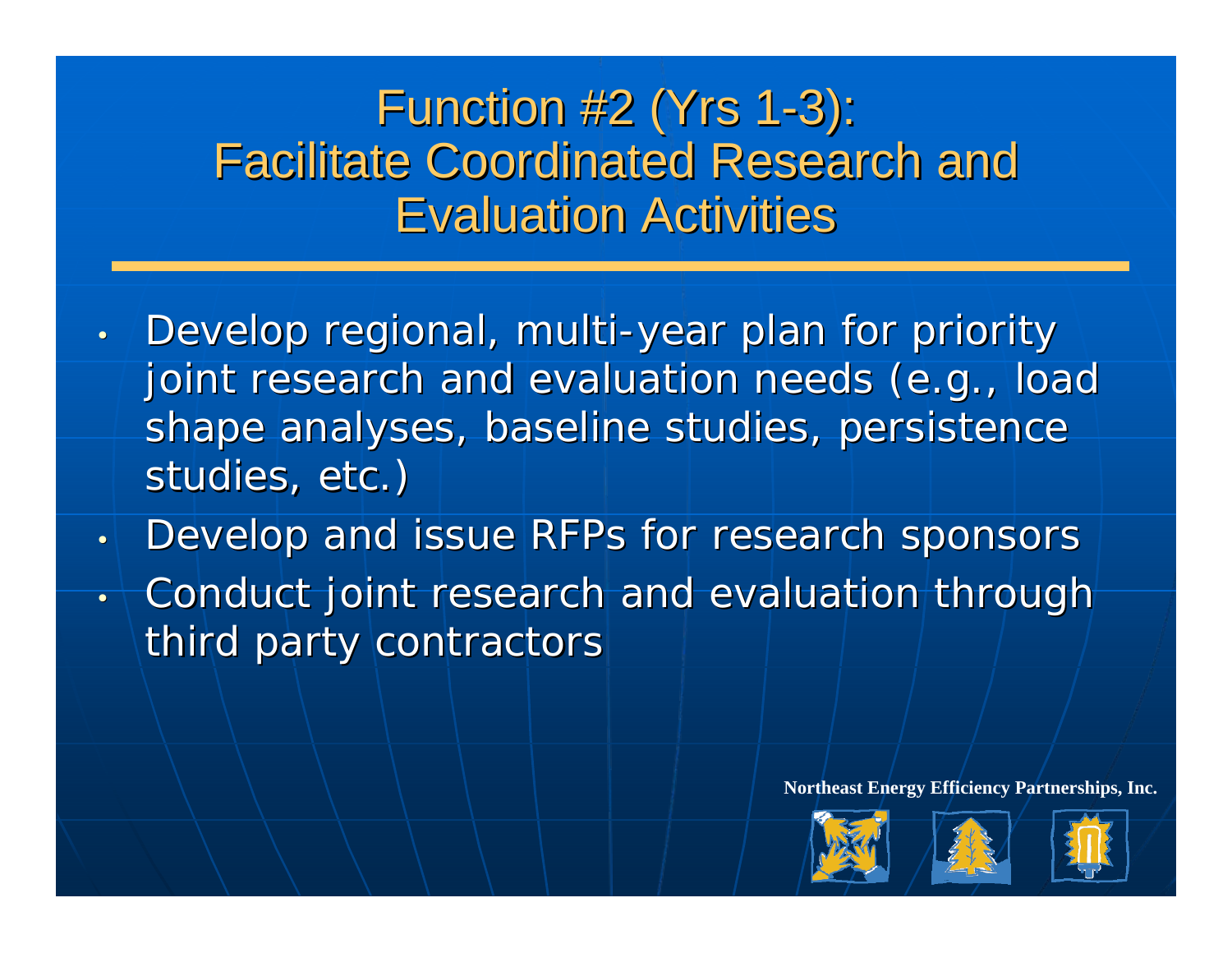## Function #2 (Yrs 1-3): Facilitate Coordinated Research and Facilitate Coordinated Research and **Evaluation Activities**

- Develop regional, multi-year plan for priority joint research and evaluation needs (e.g., load shape analyses, baseline studies, persistence studies, etc.)
- Develop and issue RFPs for research sponsors
- •Conduct joint research and evaluation through Conduct joint research and evaluation through third party contractors





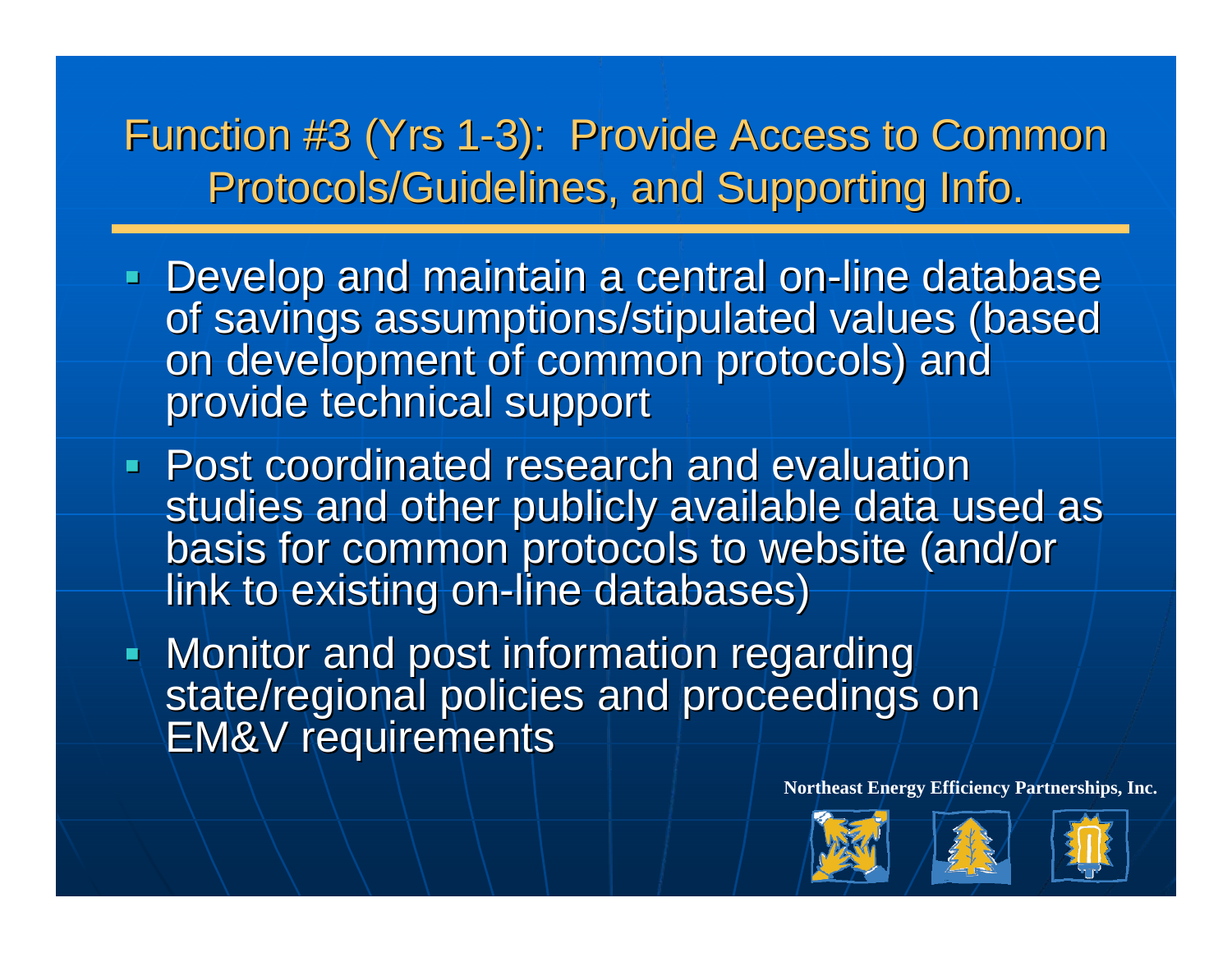Function #3 (Yrs 1-3): Provide Access to Common Protocols/Guidelines, and Supporting Info.

- Develop and maintain a central on-line database of savings assumptions/stipulated values (based<br>on development of common protocols) and<br>provide technical support
- **Post coordinated research and evaluation** studies and other publicly available data used as<br>basis for common protocols to website (and/or link to existing on-line databases)
- Monitor and post information regarding state/regional policies and proceedings on<br>EM&V requirements





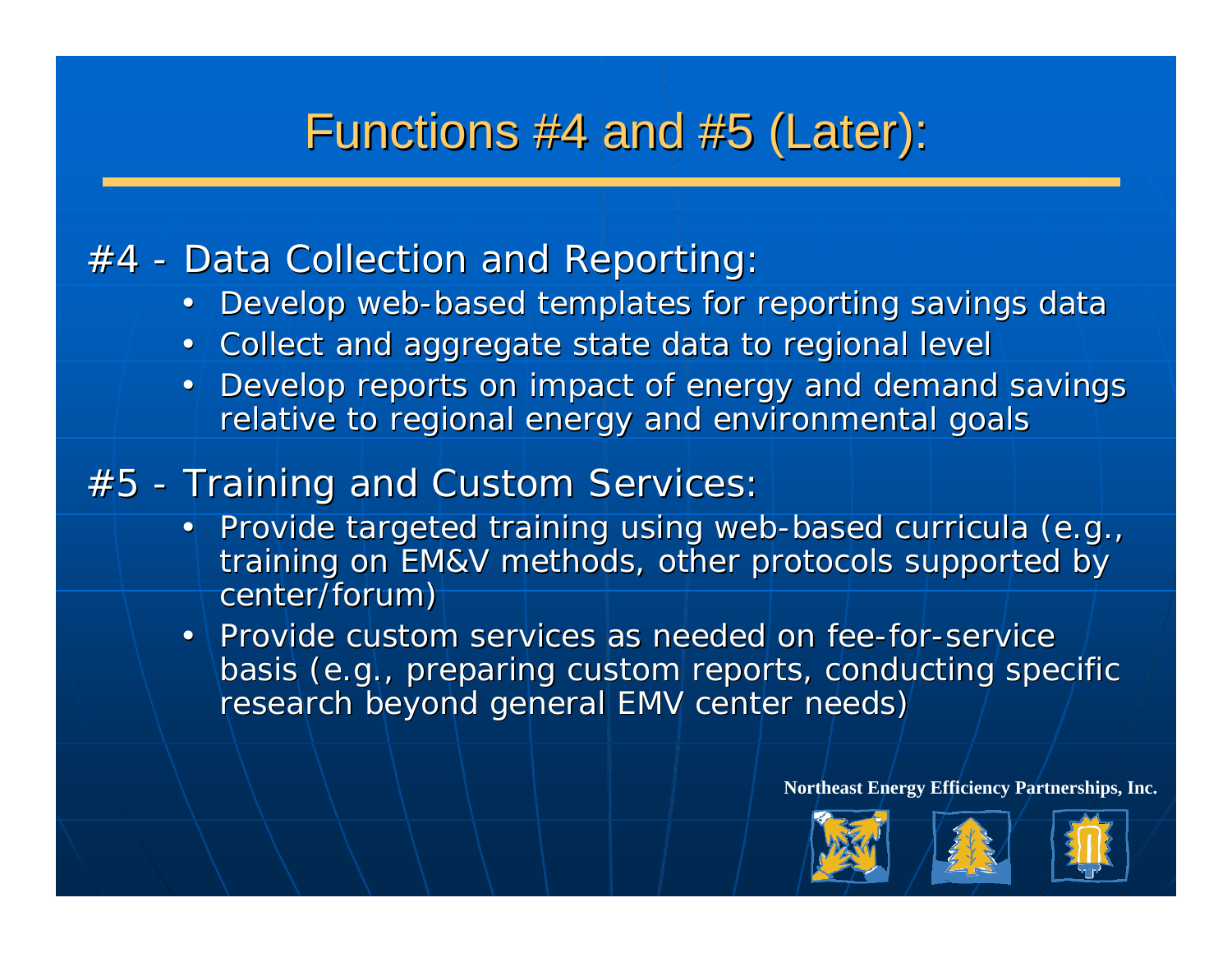### Functions #4 and #5 (Later):

### $#4$  - Data Collection and Reporting:

- Develop web-based templates for reporting savings data
- Collect and aggregate state data to regional level
- Develop reports on impact of energy and demand savings relative to regional energy and environmental goals

### $#5$  - Training and Custom Services:

- Provide targeted training using web-based curricula (e.g., training on EM&V methods, other protocols supported by center/forum)
- Provide custom services as needed on fee-for-service basis (e.g., preparing custom reports, conducting specific research beyond general EMV center needs)





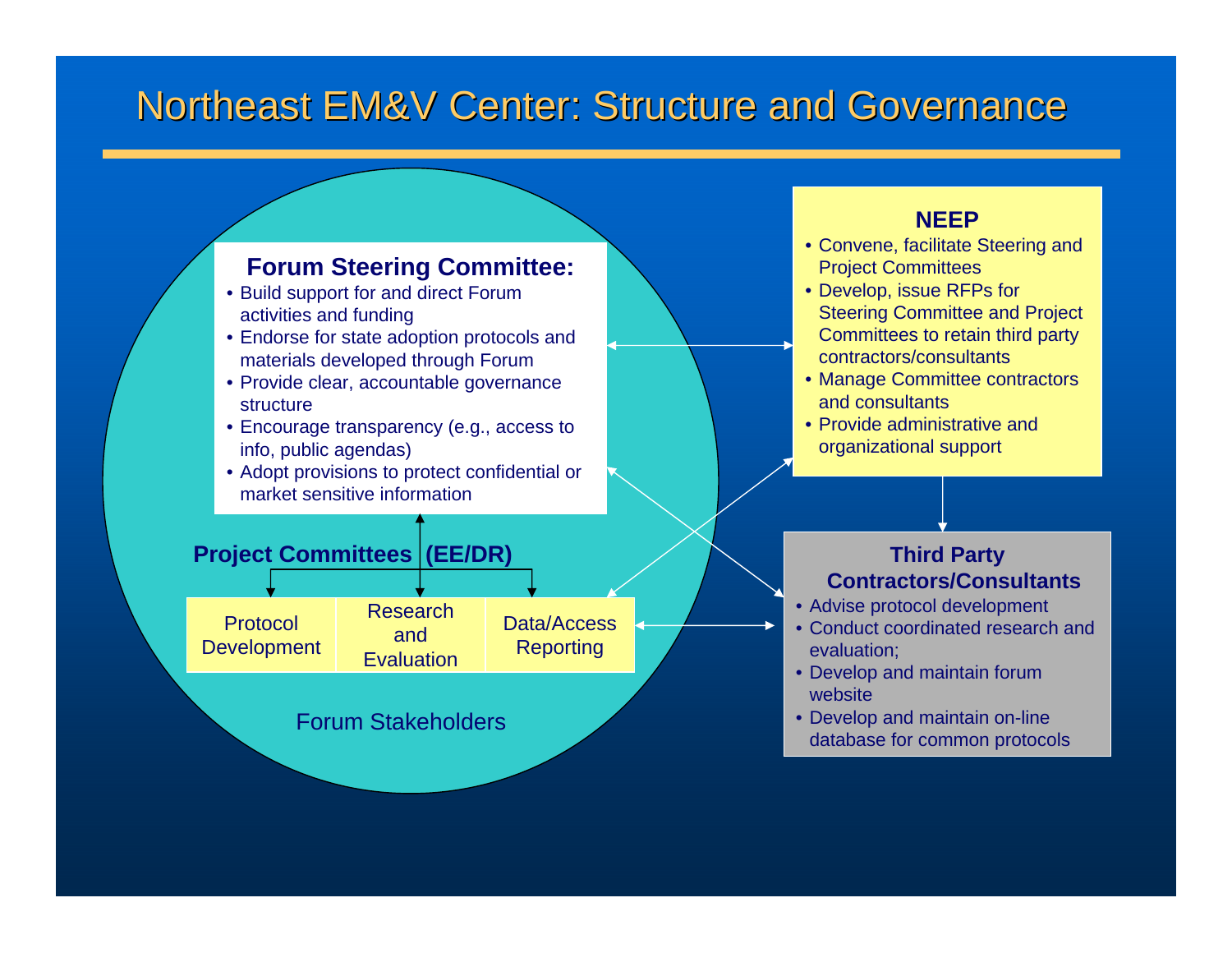### Northeast EM&V Center: Structure and Governance



- Build support for and direct Forum activities and funding
- Endorse for state adoption protocols and materials developed through Forum
- Provide clear, accountable governance structure
- Encourage transparency (e.g., access to info, public agendas)
- Adopt provisions to protect confidential or market sensitive information

#### **NEEP**

- Convene, facilitate Steering and Project Committees
- Develop, issue RFPs for Steering Committee and Project Committees to retain third party contractors/consultants
- Manage Committee contractors and consultants
- Provide administrative and organizational support

#### **Third Party Contractors/Consultants**

- Advise protocol development
- Conduct coordinated research and evaluation;
- Develop and maintain forum website
- Develop and maintain on-line database for common protocols

#### **Project Committees (EE/DR)**

Protocol **Development** Research and **Evaluation** Data/Access **Reporting** 

Forum Stakeholders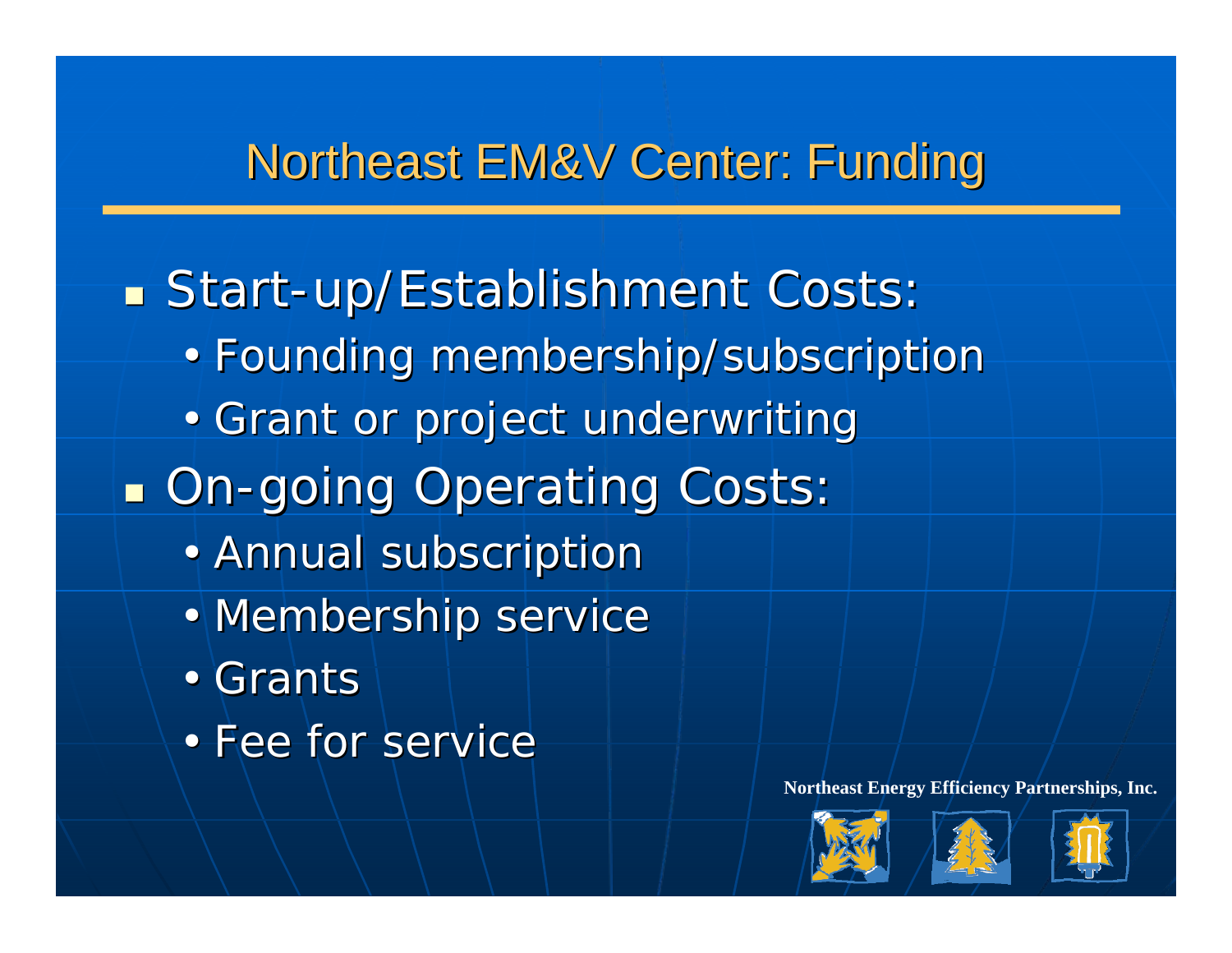## Northeast EM&V Center: Funding

**Start-up/Establishment Costs:** • Founding membership/subscription • Grant or project underwriting **DR-going Operating Costs:** • Annual subscription • Membership service •Grants • Fee for service





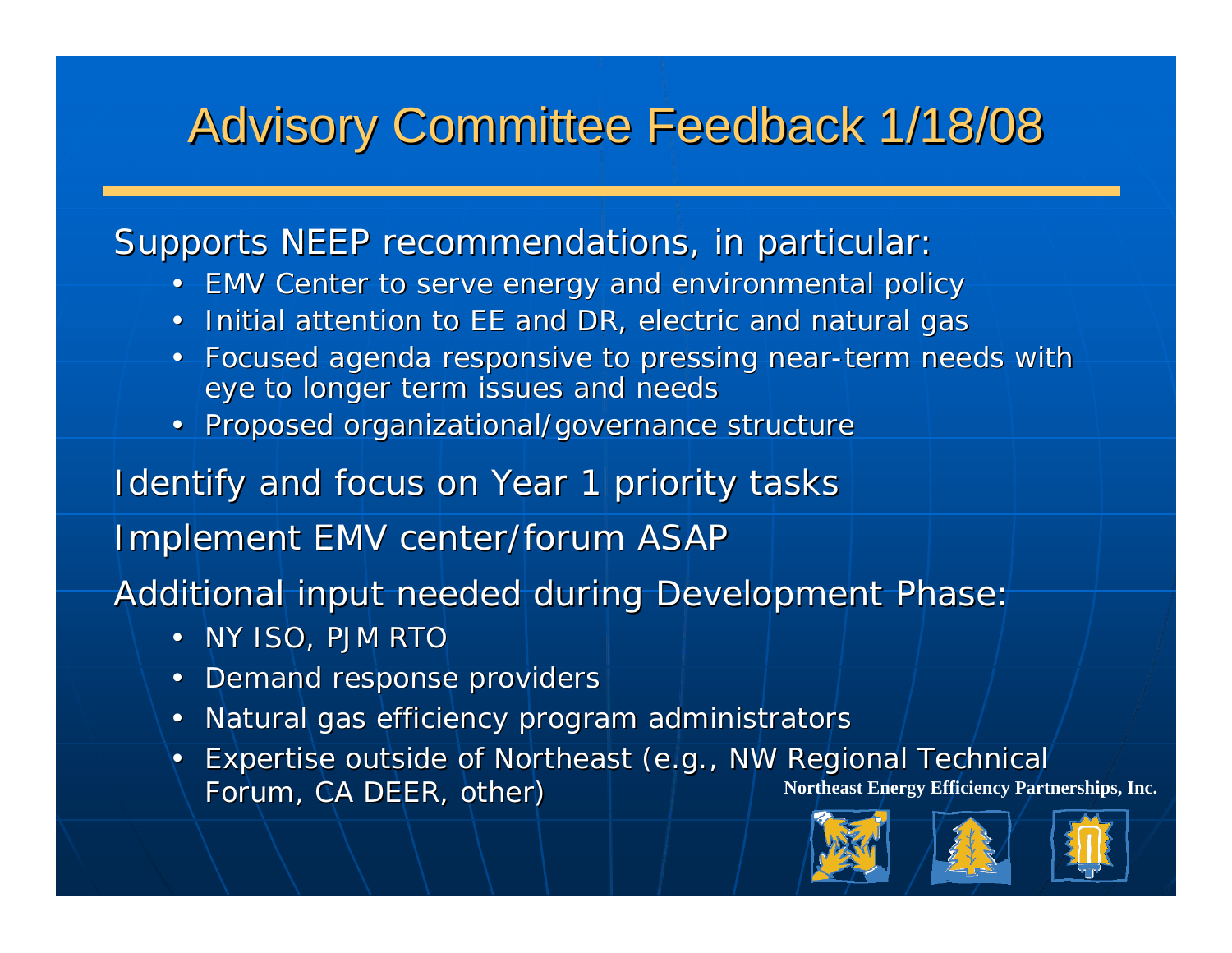## Advisory Committee Feedback 1/18/08 Advisory Committee Feedback 1/18/08

#### Supports NEEP recommendations, in particular:

- EMV Center to serve energy and environmental policy
- Initial attention to EE and DR, electric and natural gas
- Focused agenda responsive to pressing near-term needs with eye to longer term issues and needs
- Proposed organizational/governance structure

#### Identify and focus on Year 1 priority tasks

Implement EMV center/forum ASAP

Additional input needed during Development Phase:

- NY ISO, PJM RTO
- Demand response providers
- Natural gas efficiency program administrators
- **Northeast Energy Efficiency Partnerships, Inc.** Expertise outside of Northeast (e.g., NW Regional Technical Forum, CA DEER, other)





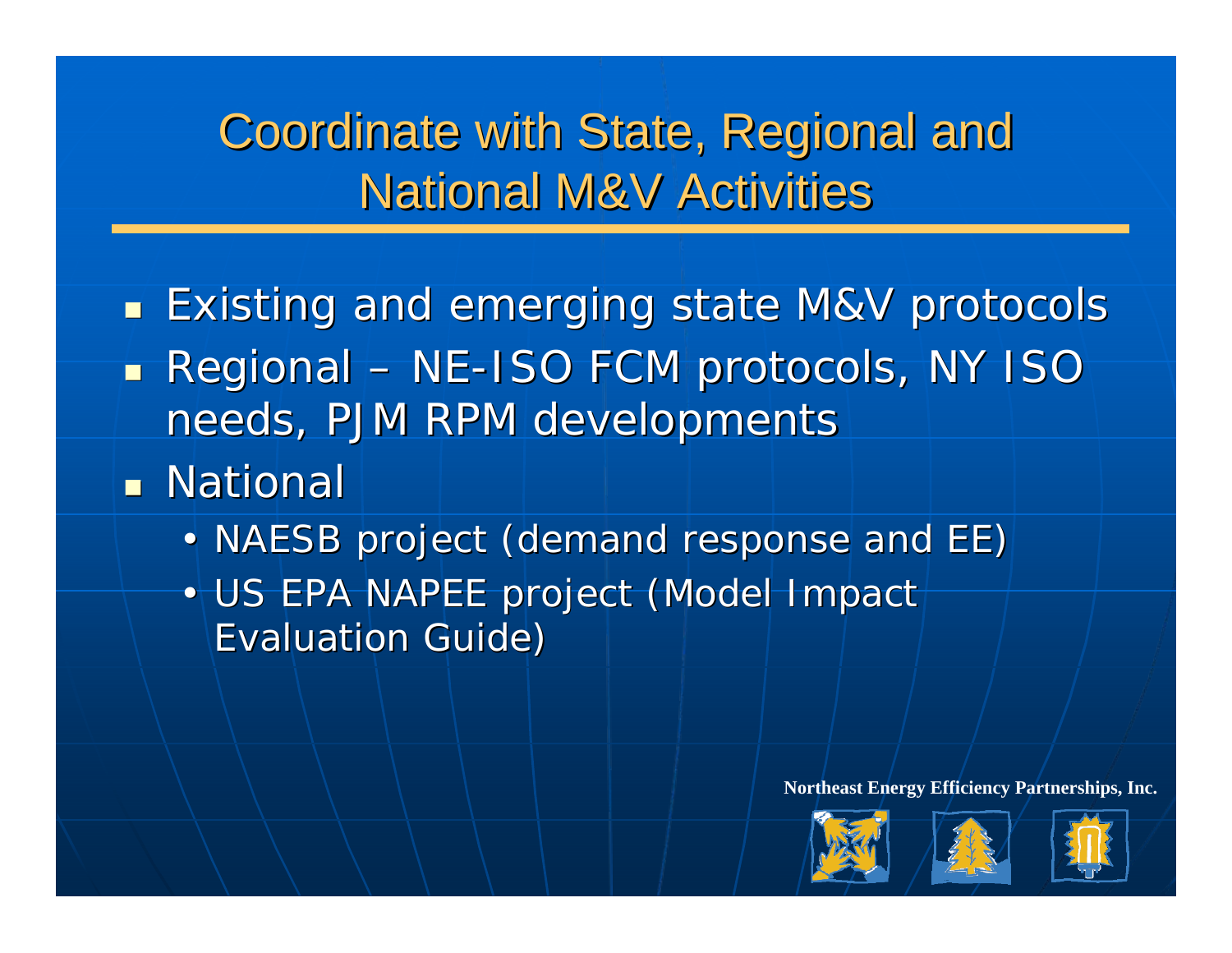Coordinate with State, Regional and **National M&V Activities** 

- $\mathbb{Z}^2$  $\blacksquare$  Existing and emerging state M&V protocols  $\mathbb{R}^2$  $\blacksquare$  Regional – NE-ISO FCM protocols, NY ISO needs, PJM RPM developments
- $\blacksquare$  National
	- NAESB project (demand response and EE)
	- $\bullet$   $\top$ • US EPA NAPEE project (Model Impact **Evaluation Guide)**





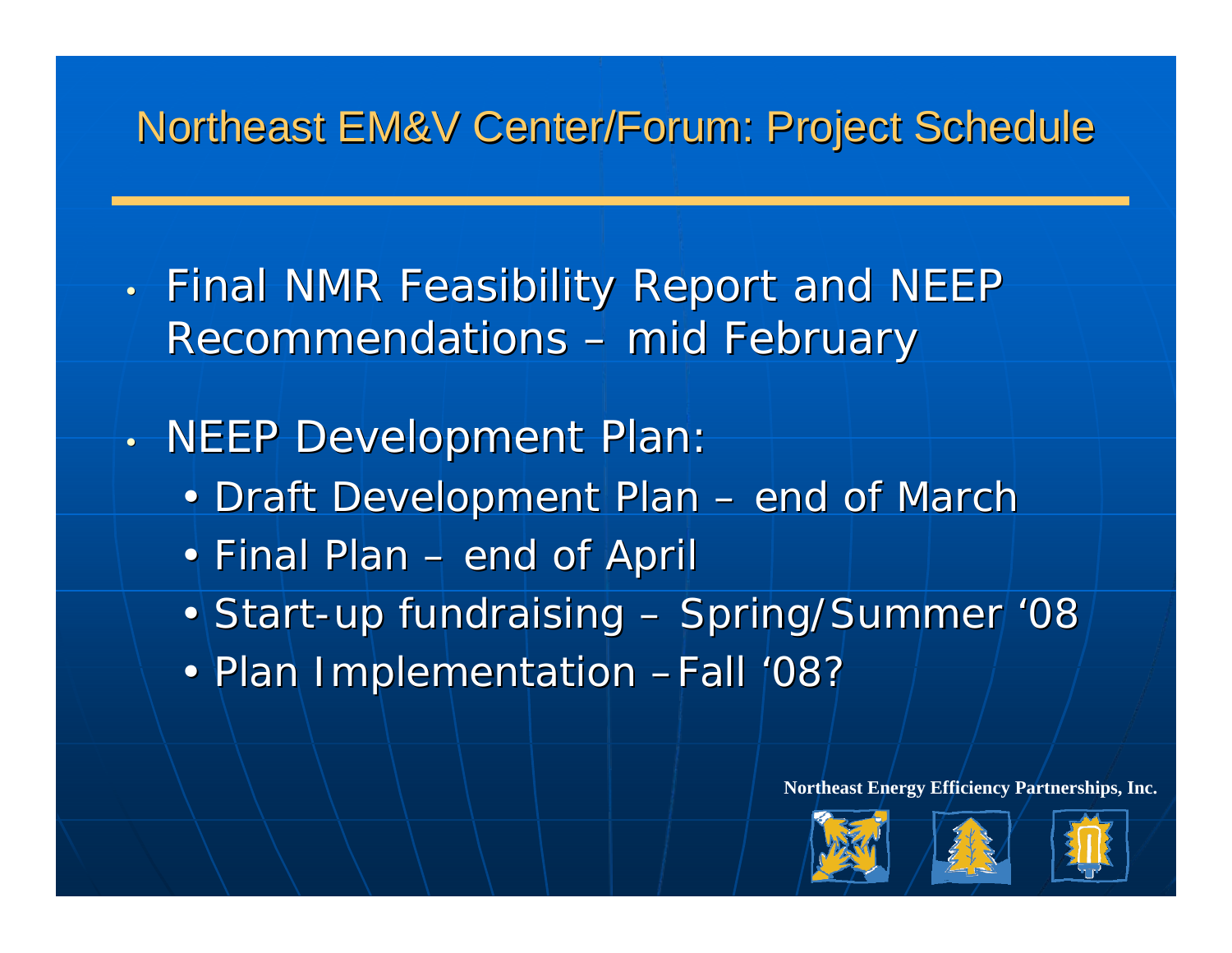### Northeast EM&V Center/Forum: Project Schedule

- $\bullet$  .  $\boldsymbol{\cdot}$  Final NMR Feasibility Report and NEEP Recommendations – mid February
- •. NEEP Development Plan:
	- Draft Development Plan end of March
	- Final Plan end of April
	- Start-up fundraising Spring/Summer '08
	- Plan Implementation -Fall '08?